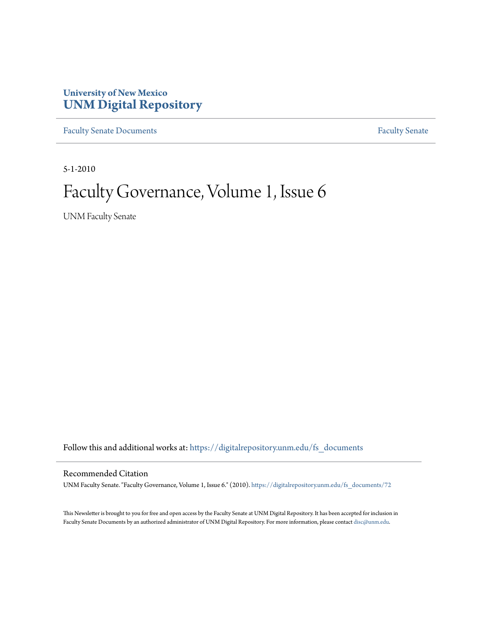### **University of New Mexico [UNM Digital Repository](https://digitalrepository.unm.edu?utm_source=digitalrepository.unm.edu%2Ffs_documents%2F72&utm_medium=PDF&utm_campaign=PDFCoverPages)**

[Faculty Senate Documents](https://digitalrepository.unm.edu/fs_documents?utm_source=digitalrepository.unm.edu%2Ffs_documents%2F72&utm_medium=PDF&utm_campaign=PDFCoverPages) **[Faculty Senate](https://digitalrepository.unm.edu/faculty_senate?utm_source=digitalrepository.unm.edu%2Ffs_documents%2F72&utm_medium=PDF&utm_campaign=PDFCoverPages)** Procuments **Faculty** Senate

5-1-2010

# Faculty Governance, Volume 1, Issue 6

UNM Faculty Senate

Follow this and additional works at: [https://digitalrepository.unm.edu/fs\\_documents](https://digitalrepository.unm.edu/fs_documents?utm_source=digitalrepository.unm.edu%2Ffs_documents%2F72&utm_medium=PDF&utm_campaign=PDFCoverPages)

#### Recommended Citation

UNM Faculty Senate. "Faculty Governance, Volume 1, Issue 6." (2010). [https://digitalrepository.unm.edu/fs\\_documents/72](https://digitalrepository.unm.edu/fs_documents/72?utm_source=digitalrepository.unm.edu%2Ffs_documents%2F72&utm_medium=PDF&utm_campaign=PDFCoverPages)

This Newsletter is brought to you for free and open access by the Faculty Senate at UNM Digital Repository. It has been accepted for inclusion in Faculty Senate Documents by an authorized administrator of UNM Digital Repository. For more information, please contact [disc@unm.edu](mailto:disc@unm.edu).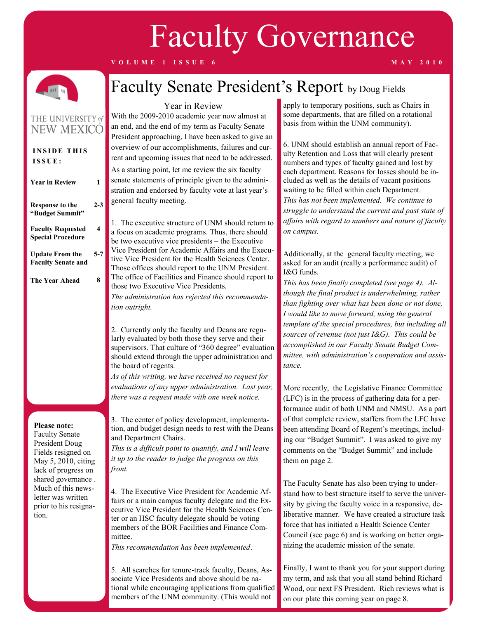# Faculty Governance

**V O L U M E 1 I S S U E 6 M A Y 2 0 1 0**



# Faculty Senate President's Report by Doug Fields

### THE UNIVERSITY of **NEW MEXICO**

| <b>INSIDE THIS</b><br>ISSUE:                         |         |
|------------------------------------------------------|---------|
| <b>Year in Review</b>                                | 1       |
| <b>Response to the</b><br>"Budget Summit"            | $2 - 3$ |
| <b>Faculty Requested</b><br><b>Special Procedure</b> | 4       |
| <b>Update From the</b><br><b>Faculty Senate and</b>  | 5-7     |
| The Year Ahead                                       | 8       |
|                                                      |         |

#### **Please note:**

Faculty Senate President Doug Fields resigned on May 5, 2010, citing lack of progress on shared governance . Much of this newsletter was written prior to his resignation.

### Year in Review

With the 2009-2010 academic year now almost at an end, and the end of my term as Faculty Senate President approaching, I have been asked to give an overview of our accomplishments, failures and current and upcoming issues that need to be addressed. As a starting point, let me review the six faculty senate statements of principle given to the administration and endorsed by faculty vote at last year's general faculty meeting.

1. The executive structure of UNM should return to a focus on academic programs. Thus, there should be two executive vice presidents – the Executive Vice President for Academic Affairs and the Executive Vice President for the Health Sciences Center. Those offices should report to the UNM President. The office of Facilities and Finance should report to those two Executive Vice Presidents. *The administration has rejected this recommenda-*

*tion outright.* 

2. Currently only the faculty and Deans are regularly evaluated by both those they serve and their supervisors. That culture of "360 degree" evaluation should extend through the upper administration and the board of regents.

*As of this writing, we have received no request for evaluations of any upper administration. Last year, there was a request made with one week notice.*

3. The center of policy development, implementation, and budget design needs to rest with the Deans and Department Chairs.

*This is a difficult point to quantify, and I will leave it up to the reader to judge the progress on this front.*

4. The Executive Vice President for Academic Affairs or a main campus faculty delegate and the Executive Vice President for the Health Sciences Center or an HSC faculty delegate should be voting members of the BOR Facilities and Finance Committee.

*This recommendation has been implemented*.

5. All searches for tenure-track faculty, Deans, Associate Vice Presidents and above should be national while encouraging applications from qualified members of the UNM community. (This would not

apply to temporary positions, such as Chairs in some departments, that are filled on a rotational basis from within the UNM community).

6. UNM should establish an annual report of Faculty Retention and Loss that will clearly present numbers and types of faculty gained and lost by each department. Reasons for losses should be included as well as the details of vacant positions waiting to be filled within each Department. *This has not been implemented. We continue to struggle to understand the current and past state of affairs with regard to numbers and nature of faculty on campus.*

Additionally, at the general faculty meeting, we asked for an audit (really a performance audit) of I&G funds.

*This has been finally completed (see page 4). Although the final product is underwhelming, rather than fighting over what has been done or not done, I would like to move forward, using the general template of the special procedures, but including all sources of revenue (not just I&G). This could be accomplished in our Faculty Senate Budget Committee, with administration's cooperation and assistance.*

More recently, the Legislative Finance Committee (LFC) is in the process of gathering data for a performance audit of both UNM and NMSU. As a part of that complete review, staffers from the LFC have been attending Board of Regent's meetings, including our "Budget Summit". I was asked to give my comments on the "Budget Summit" and include them on page 2.

The Faculty Senate has also been trying to understand how to best structure itself to serve the university by giving the faculty voice in a responsive, deliberative manner. We have created a structure task force that has initiated a Health Science Center Council (see page 6) and is working on better organizing the academic mission of the senate.

Finally, I want to thank you for your support during my term, and ask that you all stand behind Richard Wood, our next FS President. Rich reviews what is on our plate this coming year on page 8.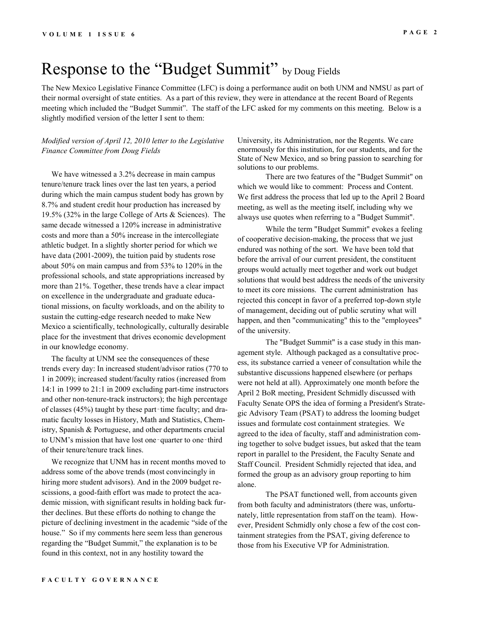### Response to the "Budget Summit" by Doug Fields

The New Mexico Legislative Finance Committee (LFC) is doing a performance audit on both UNM and NMSU as part of their normal oversight of state entities. As a part of this review, they were in attendance at the recent Board of Regents meeting which included the "Budget Summit". The staff of the LFC asked for my comments on this meeting. Below is a slightly modified version of the letter I sent to them:

#### *Modified version of April 12, 2010 letter to the Legislative Finance Committee from Doug Fields*

 We have witnessed a 3.2% decrease in main campus tenure/tenure track lines over the last ten years, a period during which the main campus student body has grown by 8.7% and student credit hour production has increased by 19.5% (32% in the large College of Arts & Sciences). The same decade witnessed a 120% increase in administrative costs and more than a 50% increase in the intercollegiate athletic budget. In a slightly shorter period for which we have data (2001-2009), the tuition paid by students rose about 50% on main campus and from 53% to 120% in the professional schools, and state appropriations increased by more than 21%. Together, these trends have a clear impact on excellence in the undergraduate and graduate educational missions, on faculty workloads, and on the ability to sustain the cutting-edge research needed to make New Mexico a scientifically, technologically, culturally desirable place for the investment that drives economic development in our knowledge economy.

 The faculty at UNM see the consequences of these trends every day: In increased student/advisor ratios (770 to 1 in 2009); increased student/faculty ratios (increased from 14:1 in 1999 to 21:1 in 2009 excluding part-time instructors and other non-tenure-track instructors); the high percentage of classes (45%) taught by these part‑time faculty; and dramatic faculty losses in History, Math and Statistics, Chemistry, Spanish & Portuguese, and other departments crucial to UNM's mission that have lost one-quarter to one-third of their tenure/tenure track lines.

 We recognize that UNM has in recent months moved to address some of the above trends (most convincingly in hiring more student advisors). And in the 2009 budget rescissions, a good-faith effort was made to protect the academic mission, with significant results in holding back further declines. But these efforts do nothing to change the picture of declining investment in the academic "side of the house." So if my comments here seem less than generous regarding the "Budget Summit," the explanation is to be found in this context, not in any hostility toward the

University, its Administration, nor the Regents. We care enormously for this institution, for our students, and for the State of New Mexico, and so bring passion to searching for solutions to our problems.

There are two features of the "Budget Summit" on which we would like to comment: Process and Content. We first address the process that led up to the April 2 Board meeting, as well as the meeting itself, including why we always use quotes when referring to a "Budget Summit".

While the term "Budget Summit" evokes a feeling of cooperative decision-making, the process that we just endured was nothing of the sort. We have been told that before the arrival of our current president, the constituent groups would actually meet together and work out budget solutions that would best address the needs of the university to meet its core missions. The current administration has rejected this concept in favor of a preferred top-down style of management, deciding out of public scrutiny what will happen, and then "communicating" this to the "employees" of the university.

The "Budget Summit" is a case study in this management style. Although packaged as a consultative process, its substance carried a veneer of consultation while the substantive discussions happened elsewhere (or perhaps were not held at all). Approximately one month before the April 2 BoR meeting, President Schmidly discussed with Faculty Senate OPS the idea of forming a President's Strategic Advisory Team (PSAT) to address the looming budget issues and formulate cost containment strategies. We agreed to the idea of faculty, staff and administration coming together to solve budget issues, but asked that the team report in parallel to the President, the Faculty Senate and Staff Council. President Schmidly rejected that idea, and formed the group as an advisory group reporting to him alone.

The PSAT functioned well, from accounts given from both faculty and administrators (there was, unfortunately, little representation from staff on the team). However, President Schmidly only chose a few of the cost containment strategies from the PSAT, giving deference to those from his Executive VP for Administration.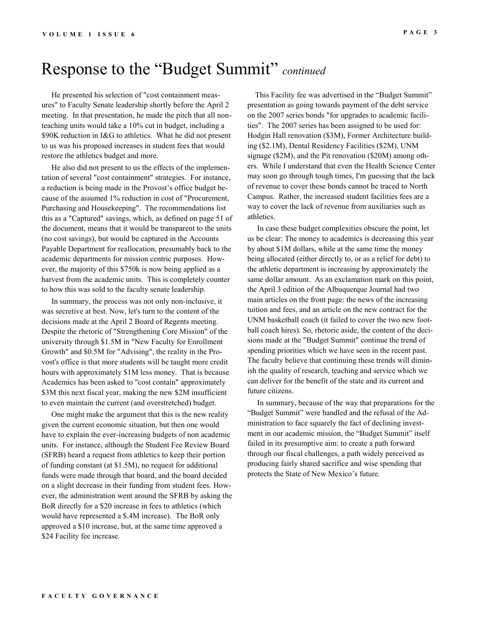### Response to the "Budget Summit" *continued*

 He presented his selection of "cost containment measures" to Faculty Senate leadership shortly before the April 2 meeting. In that presentation, he made the pitch that all nonteaching units would take a 10% cut in budget, including a \$90K reduction in I&G to athletics. What he did not present to us was his proposed increases in student fees that would restore the athletics budget and more.

 He also did not present to us the effects of the implementation of several "cost containment" strategies. For instance, a reduction is being made in the Provost's office budget because of the assumed 1% reduction in cost of "Procurement, Purchasing and Housekeeping". The recommendations list this as a "Captured" savings, which, as defined on page 51 of the document, means that it would be transparent to the units (no cost savings), but would be captured in the Accounts Payable Department for reallocation, presumably back to the academic departments for mission centric purposes. However, the majority of this \$750k is now being applied as a harvest from the academic units. This is completely counter to how this was sold to the faculty senate leadership.

 In summary, the process was not only non-inclusive, it was secretive at best. Now, let's turn to the content of the decisions made at the April 2 Board of Regents meeting. Despite the rhetoric of "Strengthening Core Mission" of the university through \$1.5M in "New Faculty for Enrollment Growth" and \$0.5M for "Advising", the reality in the Provost's office is that more students will be taught more credit hours with approximately \$1M less money. That is because Academics has been asked to "cost contain" approximately \$3M this next fiscal year, making the new \$2M insufficient to even maintain the current (and overstretched) budget.

 One might make the argument that this is the new reality given the current economic situation, but then one would have to explain the ever-increasing budgets of non academic units. For instance, although the Student Fee Review Board (SFRB) heard a request from athletics to keep their portion of funding constant (at \$1.5M), no request for additional funds were made through that board, and the board decided on a slight decrease in their funding from student fees. However, the administration went around the SFRB by asking the BoR directly for a \$20 increase in fees to athletics (which would have represented a \$.4M increase). The BoR only approved a \$10 increase, but, at the same time approved a \$24 Facility fee increase.

 This Facility fee was advertised in the "Budget Summit" presentation as going towards payment of the debt service on the 2007 series bonds "for upgrades to academic facilities". The 2007 series has been assigned to be used for: Hodgin Hall renovation (\$3M), Former Architecture building (\$2.1M), Dental Residency Facilities (\$2M), UNM signage (\$2M), and the Pit renovation (\$20M) among others. While I understand that even the Health Science Center may soon go through tough times, I'm guessing that the lack of revenue to cover these bonds cannot be traced to North Campus. Rather, the increased student facilities fees are a way to cover the lack of revenue from auxiliaries such as athletics.

 In case these budget complexities obscure the point, let us be clear: The money to academics is decreasing this year by about \$1M dollars, while at the same time the money being allocated (either directly to, or as a relief for debt) to the athletic department is increasing by approximately the same dollar amount. As an exclamation mark on this point, the April 3 edition of the Albuquerque Journal had two main articles on the front page: the news of the increasing tuition and fees, and an article on the new contract for the UNM basketball coach (it failed to cover the two new football coach hires). So, rhetoric aside, the content of the decisions made at the "Budget Summit" continue the trend of spending priorities which we have seen in the recent past. The faculty believe that continuing these trends will diminish the quality of research, teaching and service which we can deliver for the benefit of the state and its current and future citizens.

 In summary, because of the way that preparations for the "Budget Summit" were handled and the refusal of the Administration to face squarely the fact of declining investment in our academic mission, the "Budget Summit" itself failed in its presumptive aim: to create a path forward through our fiscal challenges, a path widely perceived as producing fairly shared sacrifice and wise spending that protects the State of New Mexico's future.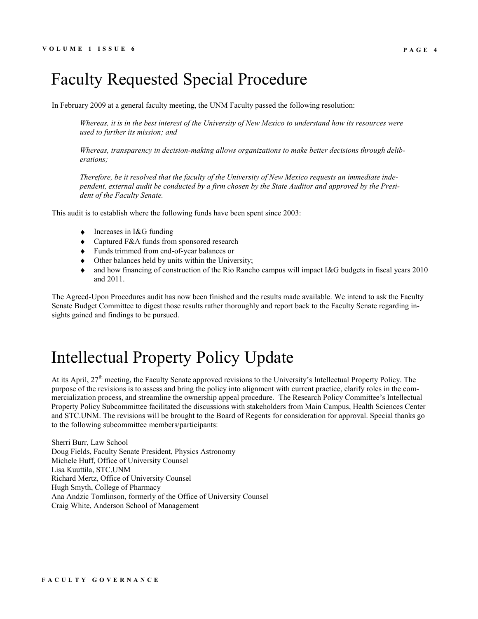### Faculty Requested Special Procedure

In February 2009 at a general faculty meeting, the UNM Faculty passed the following resolution:

*Whereas, it is in the best interest of the University of New Mexico to understand how its resources were used to further its mission; and* 

*Whereas, transparency in decision-making allows organizations to make better decisions through deliberations;* 

*Therefore, be it resolved that the faculty of the University of New Mexico requests an immediate independent, external audit be conducted by a firm chosen by the State Auditor and approved by the President of the Faculty Senate.* 

This audit is to establish where the following funds have been spent since 2003:

- Increases in I&G funding
- Captured F&A funds from sponsored research
- Funds trimmed from end-of-year balances or
- Other balances held by units within the University;
- and how financing of construction of the Rio Rancho campus will impact I&G budgets in fiscal years 2010 and 2011.

The Agreed-Upon Procedures audit has now been finished and the results made available. We intend to ask the Faculty Senate Budget Committee to digest those results rather thoroughly and report back to the Faculty Senate regarding insights gained and findings to be pursued.

## Intellectual Property Policy Update

At its April, 27<sup>th</sup> meeting, the Faculty Senate approved revisions to the University's Intellectual Property Policy. The purpose of the revisions is to assess and bring the policy into alignment with current practice, clarify roles in the commercialization process, and streamline the ownership appeal procedure. The Research Policy Committee's Intellectual Property Policy Subcommittee facilitated the discussions with stakeholders from Main Campus, Health Sciences Center and STC.UNM. The revisions will be brought to the Board of Regents for consideration for approval. Special thanks go to the following subcommittee members/participants:

Sherri Burr, Law School Doug Fields, Faculty Senate President, Physics Astronomy Michele Huff, Office of University Counsel Lisa Kuuttila, STC.UNM Richard Mertz, Office of University Counsel Hugh Smyth, College of Pharmacy Ana Andzic Tomlinson, formerly of the Office of University Counsel Craig White, Anderson School of Management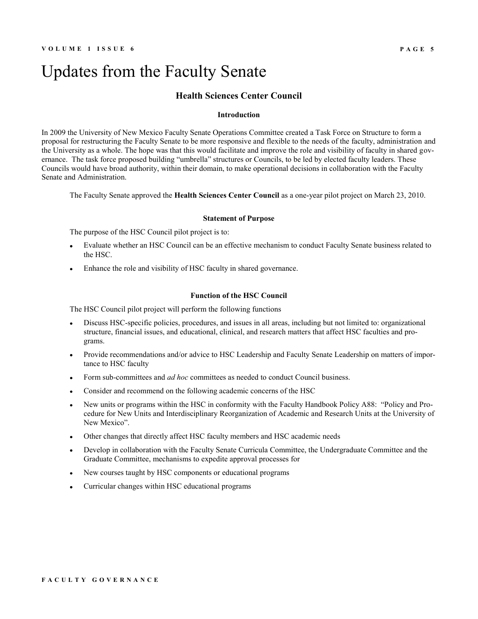### Updates from the Faculty Senate

#### **Health Sciences Center Council**

#### **Introduction**

In 2009 the University of New Mexico Faculty Senate Operations Committee created a Task Force on Structure to form a proposal for restructuring the Faculty Senate to be more responsive and flexible to the needs of the faculty, administration and the University as a whole. The hope was that this would facilitate and improve the role and visibility of faculty in shared governance. The task force proposed building "umbrella" structures or Councils, to be led by elected faculty leaders. These Councils would have broad authority, within their domain, to make operational decisions in collaboration with the Faculty Senate and Administration.

The Faculty Senate approved the **Health Sciences Center Council** as a one-year pilot project on March 23, 2010.

#### **Statement of Purpose**

The purpose of the HSC Council pilot project is to:

- Evaluate whether an HSC Council can be an effective mechanism to conduct Faculty Senate business related to the HSC.
- Enhance the role and visibility of HSC faculty in shared governance.

#### **Function of the HSC Council**

The HSC Council pilot project will perform the following functions

- Discuss HSC-specific policies, procedures, and issues in all areas, including but not limited to: organizational structure, financial issues, and educational, clinical, and research matters that affect HSC faculties and programs.
- Provide recommendations and/or advice to HSC Leadership and Faculty Senate Leadership on matters of importance to HSC faculty
- Form sub-committees and *ad hoc* committees as needed to conduct Council business.
- Consider and recommend on the following academic concerns of the HSC  $\blacksquare$
- New units or programs within the HSC in conformity with the Faculty Handbook Policy A88: "Policy and Procedure for New Units and Interdisciplinary Reorganization of Academic and Research Units at the University of New Mexico".
- Other changes that directly affect HSC faculty members and HSC academic needs
- Develop in collaboration with the Faculty Senate Curricula Committee, the Undergraduate Committee and the Graduate Committee, mechanisms to expedite approval processes for
- New courses taught by HSC components or educational programs
- Curricular changes within HSC educational programs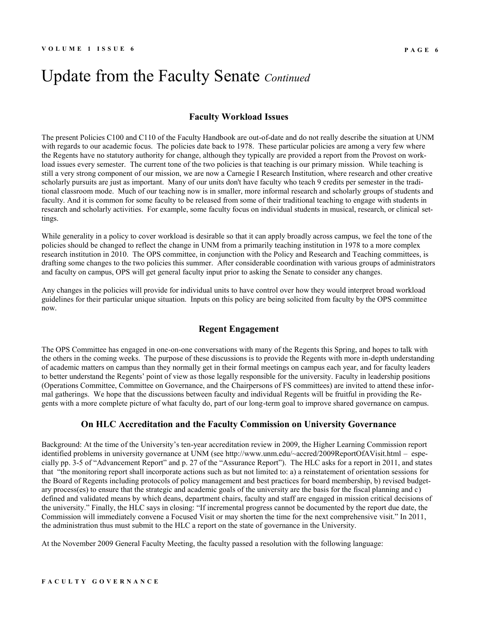### Update from the Faculty Senate *Continued*

#### **Faculty Workload Issues**

The present Policies C100 and C110 of the Faculty Handbook are out-of-date and do not really describe the situation at UNM with regards to our academic focus. The policies date back to 1978. These particular policies are among a very few where the Regents have no statutory authority for change, although they typically are provided a report from the Provost on workload issues every semester. The current tone of the two policies is that teaching is our primary mission. While teaching is still a very strong component of our mission, we are now a Carnegie I Research Institution, where research and other creative scholarly pursuits are just as important. Many of our units don't have faculty who teach 9 credits per semester in the traditional classroom mode. Much of our teaching now is in smaller, more informal research and scholarly groups of students and faculty. And it is common for some faculty to be released from some of their traditional teaching to engage with students in research and scholarly activities. For example, some faculty focus on individual students in musical, research, or clinical settings.

While generality in a policy to cover workload is desirable so that it can apply broadly across campus, we feel the tone of the policies should be changed to reflect the change in UNM from a primarily teaching institution in 1978 to a more complex research institution in 2010. The OPS committee, in conjunction with the Policy and Research and Teaching committees, is drafting some changes to the two policies this summer. After considerable coordination with various groups of administrators and faculty on campus, OPS will get general faculty input prior to asking the Senate to consider any changes.

Any changes in the policies will provide for individual units to have control over how they would interpret broad workload guidelines for their particular unique situation. Inputs on this policy are being solicited from faculty by the OPS committee now.

#### **Regent Engagement**

The OPS Committee has engaged in one-on-one conversations with many of the Regents this Spring, and hopes to talk with the others in the coming weeks. The purpose of these discussions is to provide the Regents with more in-depth understanding of academic matters on campus than they normally get in their formal meetings on campus each year, and for faculty leaders to better understand the Regents' point of view as those legally responsible for the university. Faculty in leadership positions (Operations Committee, Committee on Governance, and the Chairpersons of FS committees) are invited to attend these informal gatherings. We hope that the discussions between faculty and individual Regents will be fruitful in providing the Regents with a more complete picture of what faculty do, part of our long-term goal to improve shared governance on campus.

#### **On HLC Accreditation and the Faculty Commission on University Governance**

Background: At the time of the University's ten-year accreditation review in 2009, the Higher Learning Commission report identified problems in university governance at UNM (see http://www.unm.edu/~accred/2009ReportOfAVisit.html – especially pp. 3-5 of "Advancement Report" and p. 27 of the "Assurance Report"). The HLC asks for a report in 2011, and states that "the monitoring report shall incorporate actions such as but not limited to: a) a reinstatement of orientation sessions for the Board of Regents including protocols of policy management and best practices for board membership, b) revised budgetary process(es) to ensure that the strategic and academic goals of the university are the basis for the fiscal planning and c) defined and validated means by which deans, department chairs, faculty and staff are engaged in mission critical decisions of the university." Finally, the HLC says in closing: "If incremental progress cannot be documented by the report due date, the Commission will immediately convene a Focused Visit or may shorten the time for the next comprehensive visit." In 2011, the administration thus must submit to the HLC a report on the state of governance in the University.

At the November 2009 General Faculty Meeting, the faculty passed a resolution with the following language: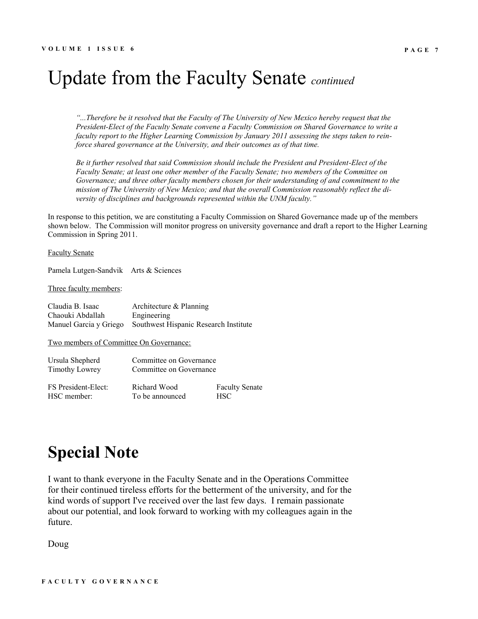# Update from the Faculty Senate *continued*

*"...Therefore be it resolved that the Faculty of The University of New Mexico hereby request that the President-Elect of the Faculty Senate convene a Faculty Commission on Shared Governance to write a faculty report to the Higher Learning Commission by January 2011 assessing the steps taken to reinforce shared governance at the University, and their outcomes as of that time.* 

*Be it further resolved that said Commission should include the President and President-Elect of the Faculty Senate; at least one other member of the Faculty Senate; two members of the Committee on Governance; and three other faculty members chosen for their understanding of and commitment to the mission of The University of New Mexico; and that the overall Commission reasonably reflect the diversity of disciplines and backgrounds represented within the UNM faculty."*

In response to this petition, we are constituting a Faculty Commission on Shared Governance made up of the members shown below. The Commission will monitor progress on university governance and draft a report to the Higher Learning Commission in Spring 2011.

#### Faculty Senate

Pamela Lutgen-Sandvik Arts & Sciences

#### Three faculty members:

| Claudia B. Isaac       | Architecture $&$ Planning             |
|------------------------|---------------------------------------|
| Chaouki Abdallah       | Engineering                           |
| Manuel Garcia y Griego | Southwest Hispanic Research Institute |

Two members of Committee On Governance:

| Ursula Shepherd       | Committee on Governance |                       |  |
|-----------------------|-------------------------|-----------------------|--|
| <b>Timothy Lowrey</b> | Committee on Governance |                       |  |
| FS President-Elect:   | Richard Wood            | <b>Faculty Senate</b> |  |
| HSC member:           | To be announced         | HSC.                  |  |

## **Special Note**

I want to thank everyone in the Faculty Senate and in the Operations Committee for their continued tireless efforts for the betterment of the university, and for the kind words of support I've received over the last few days. I remain passionate about our potential, and look forward to working with my colleagues again in the future.

Doug